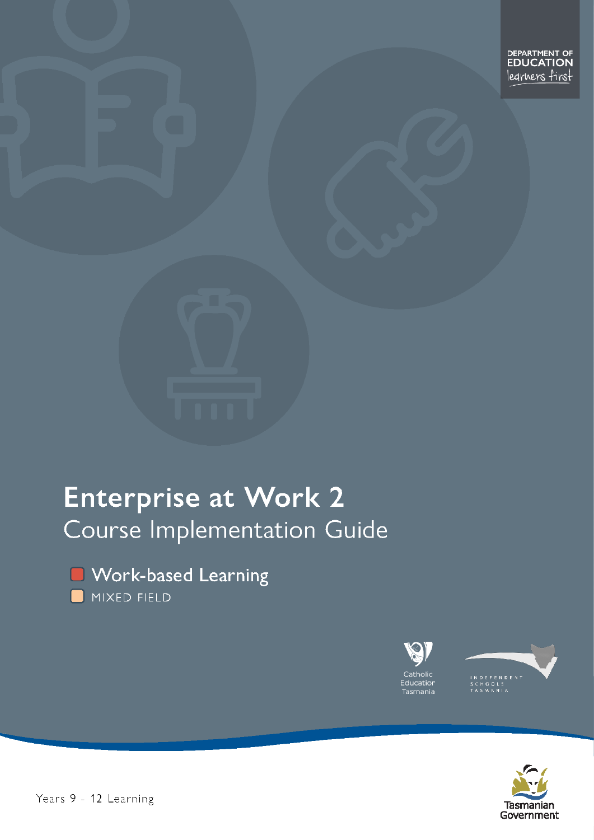DEPARTMENT OF legrners first

# **Enterprise at Work 2** Course Implementation Guide





EPENDENT<br>COLS<br>MANIA



Years 9 - 12 Learning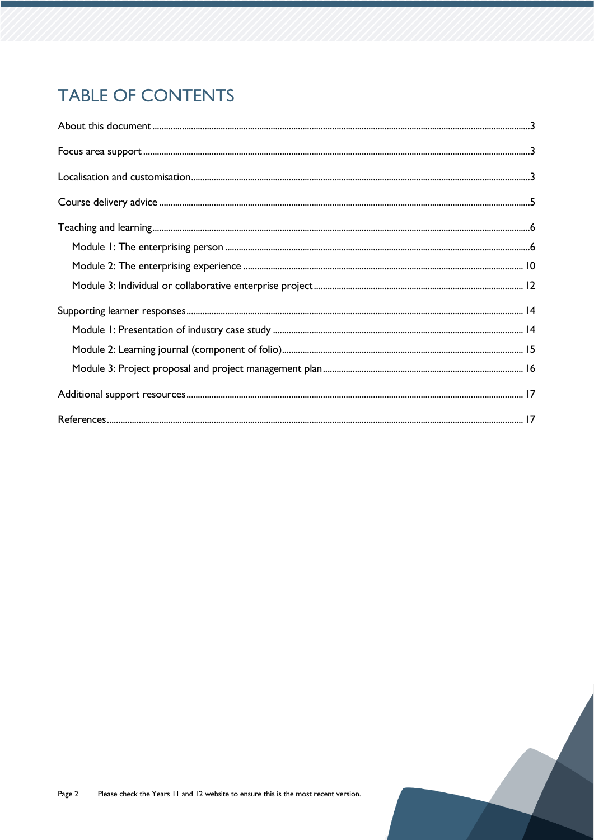# **TABLE OF CONTENTS**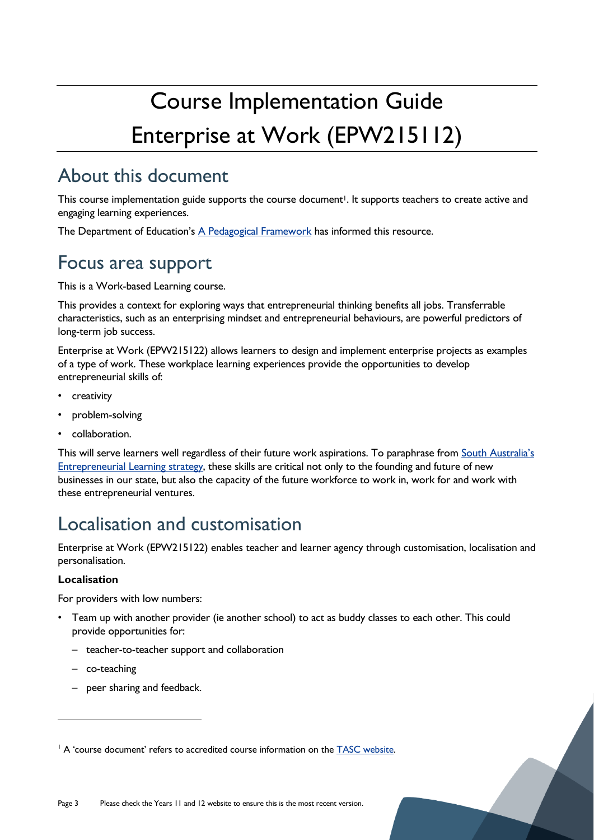# Course Implementation Guide Enterprise at Work (EPW215112)

# <span id="page-2-0"></span>About this document

This course implementation guide supports the course document<sup>1</sup>. It supports teachers to create active and engaging learning experiences.

The Department of Education's [A Pedagogical Framework](https://documentcentre.education.tas.gov.au/_layouts/15/DocIdRedir.aspx?ID=TASED-1629159896-383) has informed this resource.

# <span id="page-2-1"></span>Focus area support

This is a Work-based Learning course.

This provides a context for exploring ways that entrepreneurial thinking benefits all jobs. Transferrable characteristics, such as an enterprising mindset and entrepreneurial behaviours, are powerful predictors of long-term job success.

Enterprise at Work (EPW215122) allows learners to design and implement enterprise projects as examples of a type of work. These workplace learning experiences provide the opportunities to develop entrepreneurial skills of:

- creativity
- problem-solving
- collaboration.

This will serve learners well regardless of their future work aspirations. To paraphrase from [South Australia's](https://www.education.sa.gov.au/sites/default/files/entrepreneurial-learning-strategy.pdf)  [Entrepreneurial Learning strategy,](https://www.education.sa.gov.au/sites/default/files/entrepreneurial-learning-strategy.pdf) these skills are critical not only to the founding and future of new businesses in our state, but also the capacity of the future workforce to work in, work for and work with these entrepreneurial ventures.

# <span id="page-2-2"></span>Localisation and customisation

Enterprise at Work (EPW215122) enables teacher and learner agency through customisation, localisation and personalisation.

#### **Localisation**

For providers with low numbers:

- Team up with another provider (ie another school) to act as buddy classes to each other. This could provide opportunities for:
	- teacher-to-teacher support and collaboration
	- co-teaching
	- peer sharing and feedback.

<sup>&</sup>lt;sup>1</sup> A 'course document' refers to accredited course information on the **TASC** website.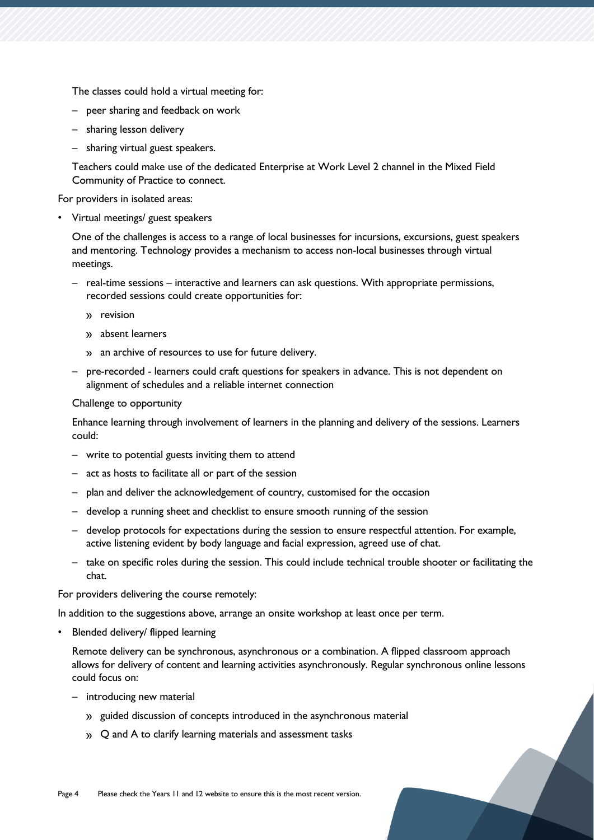The classes could hold a virtual meeting for:

- peer sharing and feedback on work
- sharing lesson delivery
- sharing virtual guest speakers.

Teachers could make use of the dedicated Enterprise at Work Level 2 channel in the Mixed Field Community of Practice to connect.

For providers in isolated areas:

• Virtual meetings/ guest speakers

One of the challenges is access to a range of local businesses for incursions, excursions, guest speakers and mentoring. Technology provides a mechanism to access non-local businesses through virtual meetings.

- real-time sessions interactive and learners can ask questions. With appropriate permissions, recorded sessions could create opportunities for:
	- » revision
	- absent learners
	- an archive of resources to use for future delivery.
- pre-recorded learners could craft questions for speakers in advance. This is not dependent on alignment of schedules and a reliable internet connection

#### Challenge to opportunity

Enhance learning through involvement of learners in the planning and delivery of the sessions. Learners could:

- write to potential guests inviting them to attend
- act as hosts to facilitate all or part of the session
- plan and deliver the acknowledgement of country, customised for the occasion
- develop a running sheet and checklist to ensure smooth running of the session
- develop protocols for expectations during the session to ensure respectful attention. For example, active listening evident by body language and facial expression, agreed use of chat.
- take on specific roles during the session. This could include technical trouble shooter or facilitating the chat.

For providers delivering the course remotely:

In addition to the suggestions above, arrange an onsite workshop at least once per term.

• Blended delivery/ flipped learning

Remote delivery can be synchronous, asynchronous or a combination. A flipped classroom approach allows for delivery of content and learning activities asynchronously. Regular synchronous online lessons could focus on:

- introducing new material
	- » guided discussion of concepts introduced in the asynchronous material
	- » Q and A to clarify learning materials and assessment tasks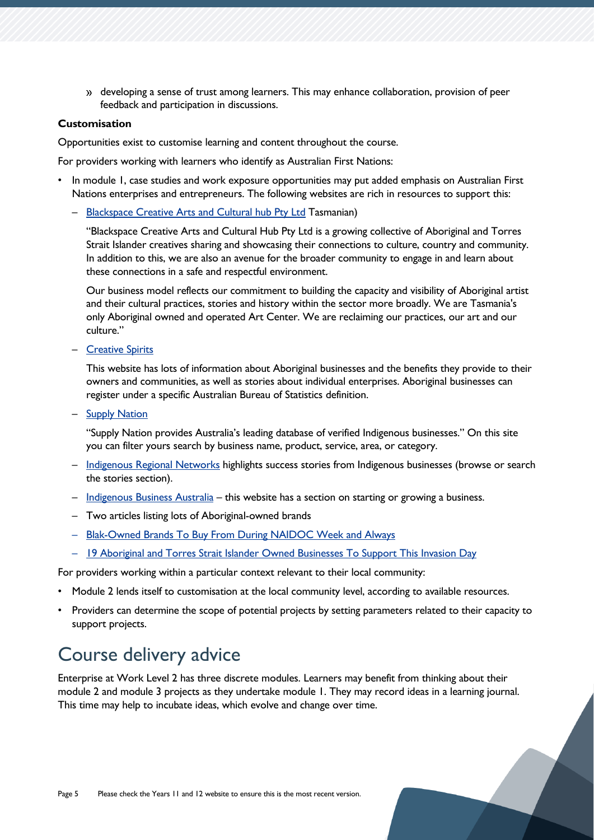developing a sense of trust among learners. This may enhance collaboration, provision of peer feedback and participation in discussions.

#### **Customisation**

Opportunities exist to customise learning and content throughout the course.

For providers working with learners who identify as Australian First Nations:

- In module 1, case studies and work exposure opportunities may put added emphasis on Australian First Nations enterprises and entrepreneurs. The following websites are rich in resources to support this:
	- [Blackspace Creative Arts and Cultural hub Pty Ltd](https://www.blackspacecreative.com.au/) Tasmanian)

"Blackspace Creative Arts and Cultural Hub Pty Ltd is a growing collective of Aboriginal and Torres Strait Islander creatives sharing and showcasing their connections to culture, country and community. In addition to this, we are also an avenue for the broader community to engage in and learn about these connections in a safe and respectful environment.

Our business model reflects our commitment to building the capacity and visibility of Aboriginal artist and their cultural practices, stories and history within the sector more broadly. We are Tasmania's only Aboriginal owned and operated Art Center. We are reclaiming our practices, our art and our culture."

– [Creative Spirits](https://tasedu.sharepoint.com/sites/CurriculumYears9-12Learning/Shared%20Documents/Resources%20-%20Tranche%201/Course%20Implementation%20Guide/Mixed%20Field/Enterprise%20at%20Work%20Level%202/•%09https:/www.creativespirits.info/aboriginalculture/economy/successful-aboriginal-businesses)

This website has lots of information about Aboriginal businesses and the benefits they provide to their owners and communities, as well as stories about individual enterprises. Aboriginal businesses can register under a specific Australian Bureau of Statistics definition.

– [Supply Nation](https://supplynation.org.au/)

"Supply Nation provides Australia's leading database of verified Indigenous businesses." On this site you can filter yours search by business name, product, service, area, or category.

- [Indigenous Regional Networks](https://www.indigenous.gov.au/) highlights success stories from Indigenous businesses (browse or search the stories section).
- [Indigenous Business Australia](https://iba.gov.au/) this website has a section on starting or growing a business.
- Two articles listing lots of Aboriginal-owned brands
- [Blak-Owned Brands To Buy From During NAIDOC Week and Always](https://tasedu.sharepoint.com/sites/CurriculumYears9-12Learning/Shared%20Documents/Resources%20-%20Tranche%201/Course%20Implementation%20Guide/Mixed%20Field/Enterprise%20at%20Work%20Level%202/•%09https:/www.huffpost.com/archive/au/entry/blak-owned-brands-naidoc-week_au_5fa893bac5b623bfac5165cc)
- [19 Aboriginal and Torres Strait Islander Owned Businesses](https://junkee.com/blak-aboriginal-business-invasion-day-guide/285655) To Support This Invasion Day

For providers working within a particular context relevant to their local community:

- Module 2 lends itself to customisation at the local community level, according to available resources.
- Providers can determine the scope of potential projects by setting parameters related to their capacity to support projects.

# <span id="page-4-0"></span>Course delivery advice

Enterprise at Work Level 2 has three discrete modules. Learners may benefit from thinking about their module 2 and module 3 projects as they undertake module 1. They may record ideas in a learning journal. This time may help to incubate ideas, which evolve and change over time.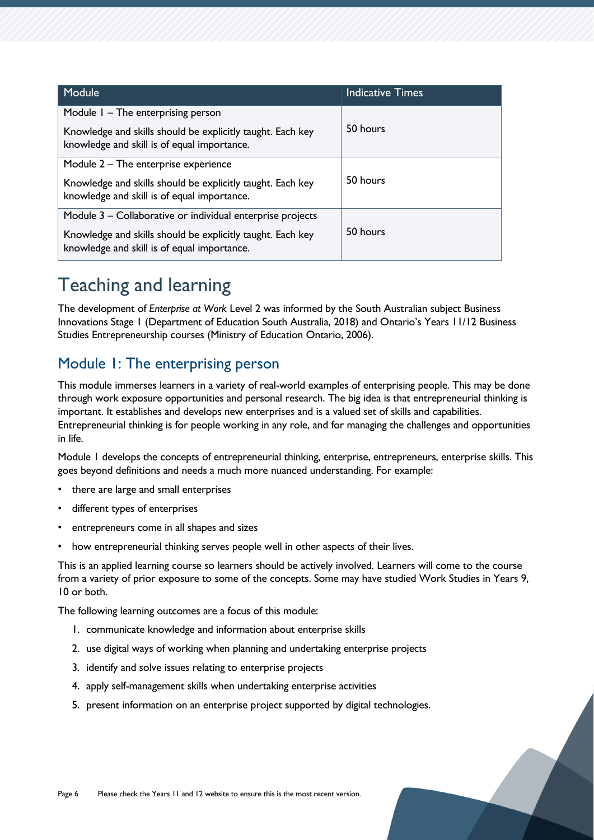| Module                                                                                                    | <b>Indicative Times</b> |  |
|-----------------------------------------------------------------------------------------------------------|-------------------------|--|
| Module $I$ – The enterprising person                                                                      |                         |  |
| Knowledge and skills should be explicitly taught. Each key<br>knowledge and skill is of equal importance. | 50 hours                |  |
| Module 2 – The enterprise experience                                                                      | 50 hours                |  |
| Knowledge and skills should be explicitly taught. Each key<br>knowledge and skill is of equal importance. |                         |  |
| Module 3 – Collaborative or individual enterprise projects                                                |                         |  |
| Knowledge and skills should be explicitly taught. Each key<br>knowledge and skill is of equal importance. | 50 hours                |  |

# <span id="page-5-0"></span>Teaching and learning

The development of *Enterprise at Work* Level 2 was informed by the South Australian subject Business Innovations Stage 1 (Department of Education South Australia, 2018) and Ontario's Years 11/12 Business Studies Entrepreneurship courses (Ministry of Education Ontario, 2006).

# <span id="page-5-1"></span>Module 1: The enterprising person

This module immerses learners in a variety of real-world examples of enterprising people. This may be done through work exposure opportunities and personal research. The big idea is that entrepreneurial thinking is important. It establishes and develops new enterprises and is a valued set of skills and capabilities. Entrepreneurial thinking is for people working in any role, and for managing the challenges and opportunities in life.

Module 1 develops the concepts of entrepreneurial thinking, enterprise, entrepreneurs, enterprise skills. This goes beyond definitions and needs a much more nuanced understanding. For example:

- there are large and small enterprises
- different types of enterprises
- entrepreneurs come in all shapes and sizes
- how entrepreneurial thinking serves people well in other aspects of their lives.

This is an applied learning course so learners should be actively involved. Learners will come to the course from a variety of prior exposure to some of the concepts. Some may have studied Work Studies in Years 9, 10 or both.

The following learning outcomes are a focus of this module:

- 1. communicate knowledge and information about enterprise skills
- 2. use digital ways of working when planning and undertaking enterprise projects
- 3. identify and solve issues relating to enterprise projects
- 4. apply self-management skills when undertaking enterprise activities
- 5. present information on an enterprise project supported by digital technologies.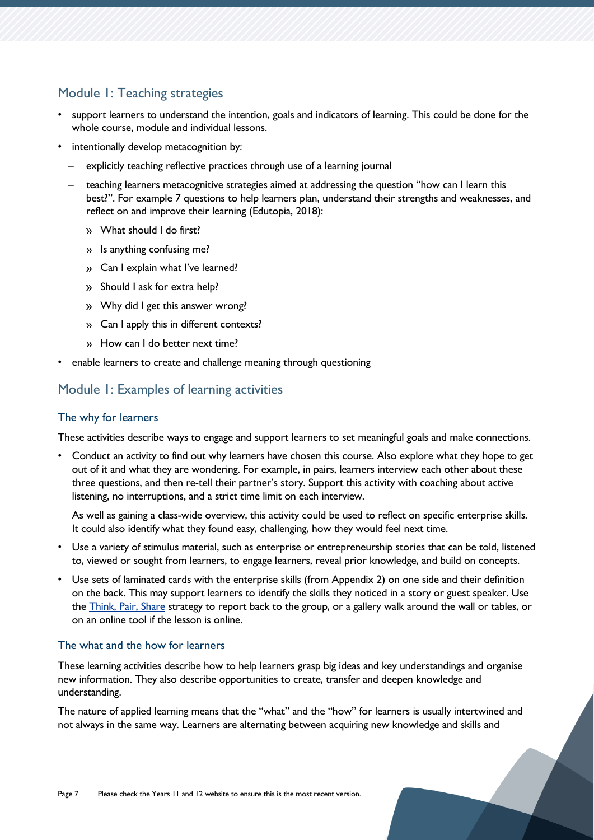### Module 1: Teaching strategies

- support learners to understand the intention, goals and indicators of learning. This could be done for the whole course, module and individual lessons.
- intentionally develop metacognition by:
	- explicitly teaching reflective practices through use of a learning journal
	- teaching learners metacognitive strategies aimed at addressing the question "how can I learn this best?". For example 7 questions to help learners plan, understand their strengths and weaknesses, and reflect on and improve their learning (Edutopia, 2018):
		- What should I do first?
		- » Is anything confusing me?
		- Can I explain what I've learned?
		- » Should I ask for extra help?
		- Why did I get this answer wrong?
		- Can I apply this in different contexts?
		- » How can I do better next time?
- enable learners to create and challenge meaning through questioning

### Module 1: Examples of learning activities

#### The why for learners

These activities describe ways to engage and support learners to set meaningful goals and make connections.

• Conduct an activity to find out why learners have chosen this course. Also explore what they hope to get out of it and what they are wondering. For example, in pairs, learners interview each other about these three questions, and then re-tell their partner's story. Support this activity with coaching about active listening, no interruptions, and a strict time limit on each interview.

As well as gaining a class-wide overview, this activity could be used to reflect on specific enterprise skills. It could also identify what they found easy, challenging, how they would feel next time.

- Use a variety of stimulus material, such as enterprise or entrepreneurship stories that can be told, listened to, viewed or sought from learners, to engage learners, reveal prior knowledge, and build on concepts.
- Use sets of laminated cards with the enterprise skills (from Appendix 2) on one side and their definition on the back. This may support learners to identify the skills they noticed in a story or guest speaker. Use the [Think, Pair, Share](http://pz.harvard.edu/sites/default/files/Think%20Pair%20Share_1.pdf) strategy to report back to the group, or a gallery walk around the wall or tables, or on an online tool if the lesson is online.

#### The what and the how for learners

These learning activities describe how to help learners grasp big ideas and key understandings and organise new information. They also describe opportunities to create, transfer and deepen knowledge and understanding.

The nature of applied learning means that the "what" and the "how" for learners is usually intertwined and not always in the same way. Learners are alternating between acquiring new knowledge and skills and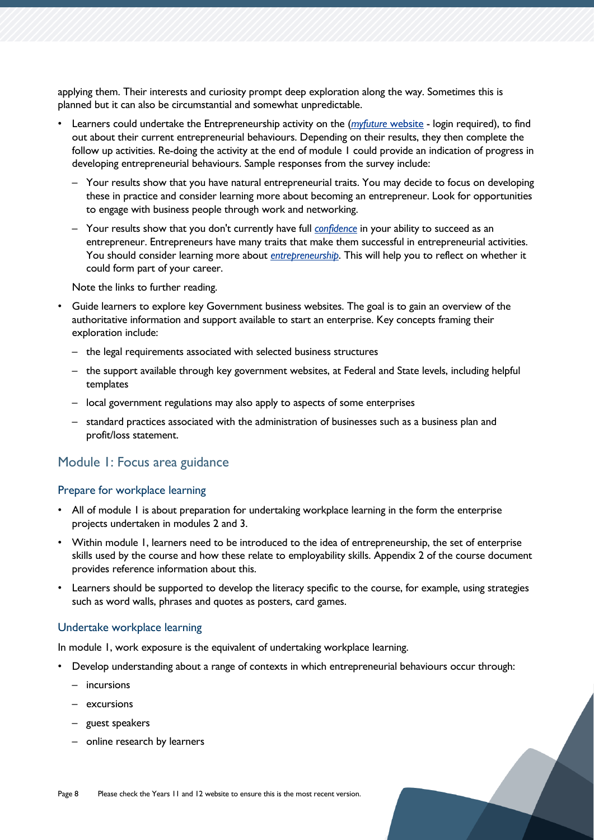applying them. Their interests and curiosity prompt deep exploration along the way. Sometimes this is planned but it can also be circumstantial and somewhat unpredictable.

- Learners could undertake the Entrepreneurship activity on the (*[myfuture](https://myfuture.edu.au/my-career-profile/activities)* website login required), to find out about their current entrepreneurial behaviours. Depending on their results, they then complete the follow up activities. Re-doing the activity at the end of module 1 could provide an indication of progress in developing entrepreneurial behaviours. Sample responses from the survey include:
	- Your results show that you have natural entrepreneurial traits. You may decide to focus on developing these in practice and consider learning more about becoming an entrepreneur. Look for opportunities to engage with business people through work and networking.
	- Your results show that you don't currently have full *[confidence](https://myfuture.edu.au/career-articles/details/the-anxious-entrepreneur)* in your ability to succeed as an entrepreneur. Entrepreneurs have many traits that make them successful in entrepreneurial activities. You should consider learning more about *[entrepreneurship](https://myfuture.edu.au/career-insight/entrepreneurship/)*. This will help you to reflect on whether it could form part of your career.

Note the links to further reading.

- Guide learners to explore key Government business websites. The goal is to gain an overview of the authoritative information and support available to start an enterprise. Key concepts framing their exploration include:
	- the legal requirements associated with selected business structures
	- the support available through key government websites, at Federal and State levels, including helpful templates
	- local government regulations may also apply to aspects of some enterprises
	- standard practices associated with the administration of businesses such as a business plan and profit/loss statement.

#### Module 1: Focus area guidance

#### Prepare for workplace learning

- All of module I is about preparation for undertaking workplace learning in the form the enterprise projects undertaken in modules 2 and 3.
- Within module 1, learners need to be introduced to the idea of entrepreneurship, the set of enterprise skills used by the course and how these relate to employability skills. Appendix 2 of the course document provides reference information about this.
- Learners should be supported to develop the literacy specific to the course, for example, using strategies such as word walls, phrases and quotes as posters, card games.

#### Undertake workplace learning

In module 1, work exposure is the equivalent of undertaking workplace learning.

- Develop understanding about a range of contexts in which entrepreneurial behaviours occur through:
	- incursions
	- excursions
	- guest speakers
	- online research by learners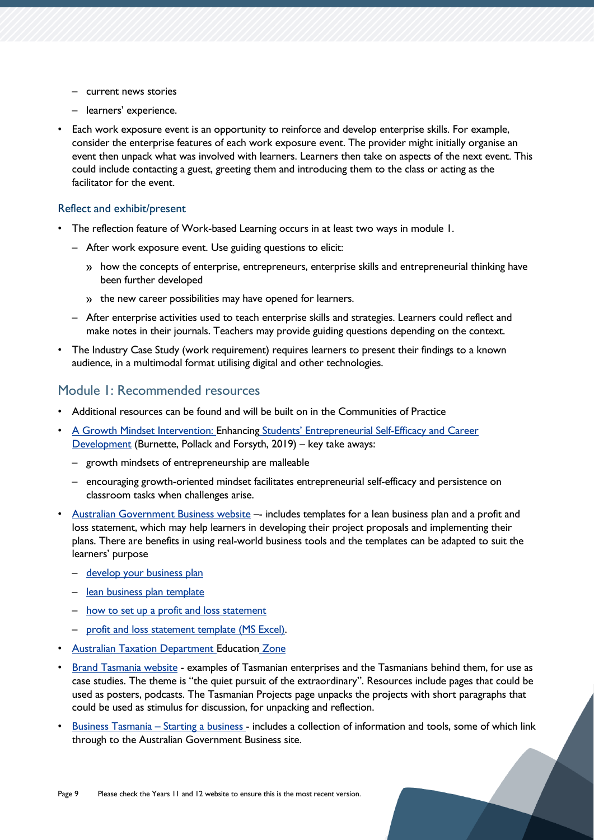- current news stories
- learners' experience.
- Each work exposure event is an opportunity to reinforce and develop enterprise skills. For example, consider the enterprise features of each work exposure event. The provider might initially organise an event then unpack what was involved with learners. Learners then take on aspects of the next event. This could include contacting a guest, greeting them and introducing them to the class or acting as the facilitator for the event.

#### Reflect and exhibit/present

- The reflection feature of Work-based Learning occurs in at least two ways in module 1.
	- After work exposure event. Use guiding questions to elicit:
		- » how the concepts of enterprise, entrepreneurs, enterprise skills and entrepreneurial thinking have been further developed
		- the new career possibilities may have opened for learners.
	- After enterprise activities used to teach enterprise skills and strategies. Learners could reflect and make notes in their journals. Teachers may provide guiding questions depending on the context.
- The Industry Case Study (work requirement) requires learners to present their findings to a known audience, in a multimodal format utilising digital and other technologies.

#### Module 1: Recommended resources

- Additional resources can be found and will be built on in the Communities of Practice
- [A Growth Mindset Intervention: Enhancing](https://doi.org/10.1177/1042258719864293) Students' Entrepreneurial Self-Efficacy and Career [Development](https://doi.org/10.1177/1042258719864293) (Burnette, Pollack and Forsyth, 2019) – key take aways:
	- growth mindsets of entrepreneurship are malleable
	- encouraging growth-oriented mindset facilitates entrepreneurial self-efficacy and persistence on classroom tasks when challenges arise.
- [Australian Government Business website](https://business.gov.au/) includes templates for a lean business plan and a profit and loss statement, which may help learners in developing their project proposals and implementing their plans. There are benefits in using real-world business tools and the templates can be adapted to suit the learners' purpose
	- [develop your business plan](https://tasedu.sharepoint.com/sites/CurriculumYears9-12Learning/Shared%20Documents/Resources%20-%20Tranche%201/Course%20Implementation%20Guide/Mixed%20Field/Enterprise%20at%20Work%20Level%202/•%09https:/business.gov.au/planning/business-plans/develop-your-business-plan)
	- [lean business plan template](https://business.gov.au/-/media/business-information/business-plans/lean-business-plan-template.ashx)
	- [how to set up a profit and loss statement](https://business.gov.au/finance/accounting/how-to-set-up-a-profit-and-loss-statement)
	- [profit and loss statement template \(MS Excel\).](https://business.gov.au/-/media/business-information/business-plans/profit-and-loss-statement-template-xls)
- [Australian Taxation Department Education](https://www.ato.gov.au/General/Education-zone/) Zone
- [Brand Tasmania website](https://tasmanian.com.au/) examples of Tasmanian enterprises and the Tasmanians behind them, for use as case studies. The theme is "the quiet pursuit of the extraordinary". Resources include pages that could be used as posters, podcasts. The Tasmanian Projects page unpacks the projects with short paragraphs that could be used as stimulus for discussion, for unpacking and reflection.
- [Business Tasmania](https://www.business.tas.gov.au/starting)  Starting a business includes a collection of information and tools, some of which link through to the Australian Government Business site.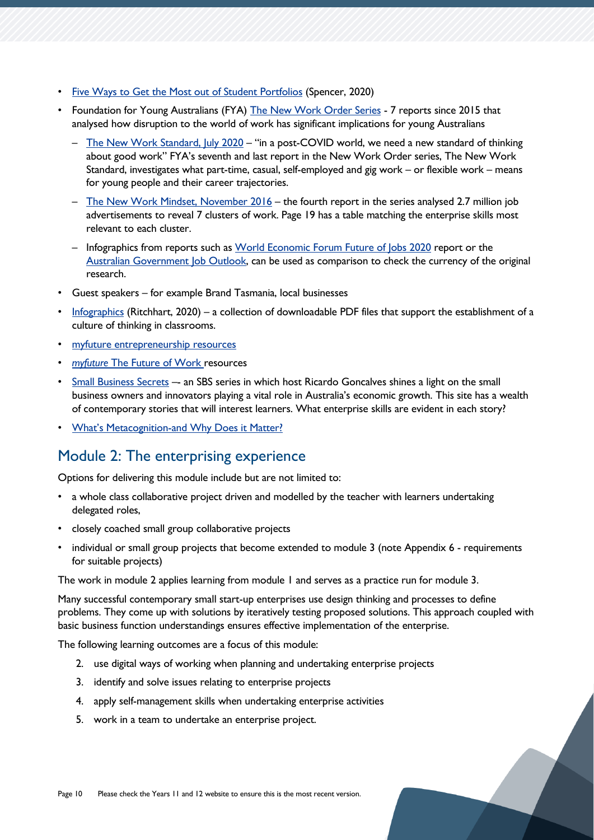- [Five Ways to Get the Most out of Student Portfolios](https://www.youtube.com/watch?v=6ZP5E--EiQk) (Spencer, 2020)
- Foundation for Young Australians (FYA) [The New Work Order Series](https://www.fya.org.au/resource/new-work-order-research/) 7 reports since 2015 that analysed how disruption to the world of work has significant implications for young Australians
	- [The New Work Standard, July 2020](https://www.fya.org.au/app/uploads/2021/09/FYA-New-Work-Standard-2020.pdf) "in a post-COVID world, we need a new standard of thinking about good work" FYA's seventh and last report in the New Work Order series, The New Work Standard, investigates what part-time, casual, self-employed and gig work – or flexible work – means for young people and their career trajectories.
	- [The New Work Mindset, November 2016](https://www.fya.org.au/app/uploads/2021/09/The-New-Work-Mindset_2016.pdf) the fourth report in the series analysed 2.7 million job advertisements to reveal 7 clusters of work. Page 19 has a table matching the enterprise skills most relevant to each cluster.
	- Infographics from reports such as [World Economic Forum Future of Jobs 2020](https://www3.weforum.org/docs/WEF_Future_of_Jobs_2020.pdf) report or the [Australian Government Job Outlook,](https://joboutlook.gov.au/) can be used as comparison to check the currency of the original research.
- Guest speakers for example Brand Tasmania, local businesses
- [Infographics](https://www.ronritchhart.com/info-graphics) (Ritchhart, 2020) a collection of downloadable PDF files that support the establishment of a culture of thinking in classrooms.
- [myfuture entrepreneurship resources](https://myfuture.edu.au/career-articles/entrepreneurship)
- *myfuture* [The Future of Work resources](https://myfuture.edu.au/assist-others/the-future-of-work)
- [Small Business Secrets](https://www.sbs.com.au/news/small-business-secrets) -- an SBS series in which host Ricardo Goncalves shines a light on the small business owners and innovators playing a vital role in Australia's economic growth. This site has a wealth of contemporary stories that will interest learners. What enterprise skills are evident in each story?
- What's Metacognition[-and Why Does it Matter?](https://tasedu.sharepoint.com/sites/CurriculumYears9-12Learning/Shared%20Documents/Resources%20-%20Tranche%201/Course%20Implementation%20Guide/Mixed%20Field/Enterprise%20at%20Work%20Level%202/Course-Implementation-Guide-Enterprise%20at%20Work%202.docx)

## <span id="page-9-0"></span>Module 2: The enterprising experience

Options for delivering this module include but are not limited to:

- a whole class collaborative project driven and modelled by the teacher with learners undertaking delegated roles,
- closely coached small group collaborative projects
- individual or small group projects that become extended to module 3 (note Appendix 6 requirements for suitable projects)

The work in module 2 applies learning from module 1 and serves as a practice run for module 3.

Many successful contemporary small start-up enterprises use design thinking and processes to define problems. They come up with solutions by iteratively testing proposed solutions. This approach coupled with basic business function understandings ensures effective implementation of the enterprise.

The following learning outcomes are a focus of this module:

- 2. use digital ways of working when planning and undertaking enterprise projects
- 3. identify and solve issues relating to enterprise projects
- 4. apply self-management skills when undertaking enterprise activities
- 5. work in a team to undertake an enterprise project.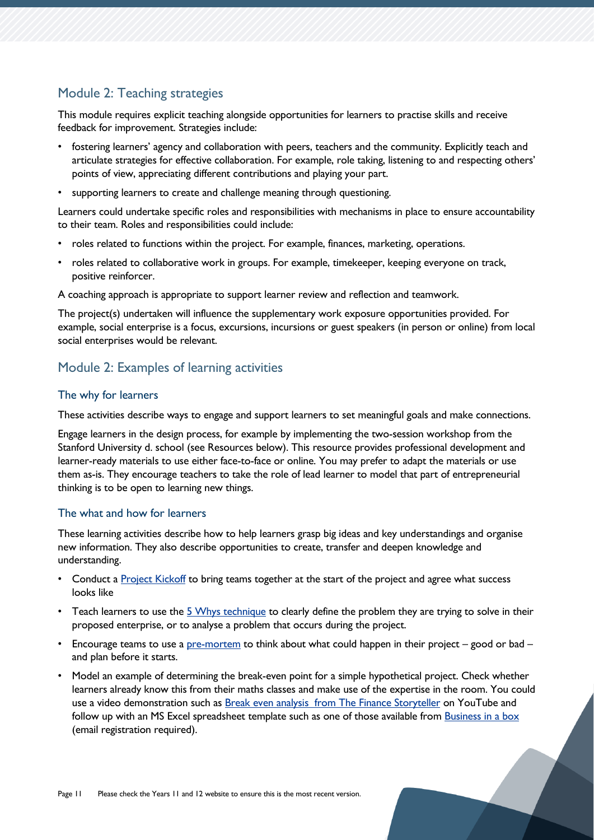### Module 2: Teaching strategies

This module requires explicit teaching alongside opportunities for learners to practise skills and receive feedback for improvement. Strategies include:

- fostering learners' agency and collaboration with peers, teachers and the community. Explicitly teach and articulate strategies for effective collaboration. For example, role taking, listening to and respecting others' points of view, appreciating different contributions and playing your part.
- supporting learners to create and challenge meaning through questioning.

Learners could undertake specific roles and responsibilities with mechanisms in place to ensure accountability to their team. Roles and responsibilities could include:

- roles related to functions within the project. For example, finances, marketing, operations.
- roles related to collaborative work in groups. For example, timekeeper, keeping everyone on track, positive reinforcer.

A coaching approach is appropriate to support learner review and reflection and teamwork.

The project(s) undertaken will influence the supplementary work exposure opportunities provided. For example, social enterprise is a focus, excursions, incursions or guest speakers (in person or online) from local social enterprises would be relevant.

### Module 2: Examples of learning activities

#### The why for learners

These activities describe ways to engage and support learners to set meaningful goals and make connections.

Engage learners in the design process, for example by implementing the two-session workshop from the Stanford University d. school (see Resources below). This resource provides professional development and learner-ready materials to use either face-to-face or online. You may prefer to adapt the materials or use them as-is. They encourage teachers to take the role of lead learner to model that part of entrepreneurial thinking is to be open to learning new things.

#### The what and how for learners

These learning activities describe how to help learners grasp big ideas and key understandings and organise new information. They also describe opportunities to create, transfer and deepen knowledge and understanding.

- Conduct a [Project Kickoff](https://www.atlassian.com/team-playbook/plays/project-kickoff) to bring teams together at the start of the project and agree what success looks like
- Teach learners to use the [5 Whys technique](https://www.atlassian.com/team-playbook/plays/5-whys) to clearly define the problem they are trying to solve in their proposed enterprise, or to analyse a problem that occurs during the project.
- Encourage teams to use a  $pre-mortem$  to think about what could happen in their project good or bad and plan before it starts.
- Model an example of determining the break-even point for a simple hypothetical project. Check whether learners already know this from their maths classes and make use of the expertise in the room. You could use a video demonstration such as [Break even analysis from The Finance Storyteller](https://www.youtube.com/watch?v=r8BIz5I-aDc) on YouTube and follow up with an MS Excel spreadsheet template such as one of those available from [Business in a box](https://www.business-in-a-box.com/docs/?q=break-even-analysis&a=break-even-analysis) (email registration required).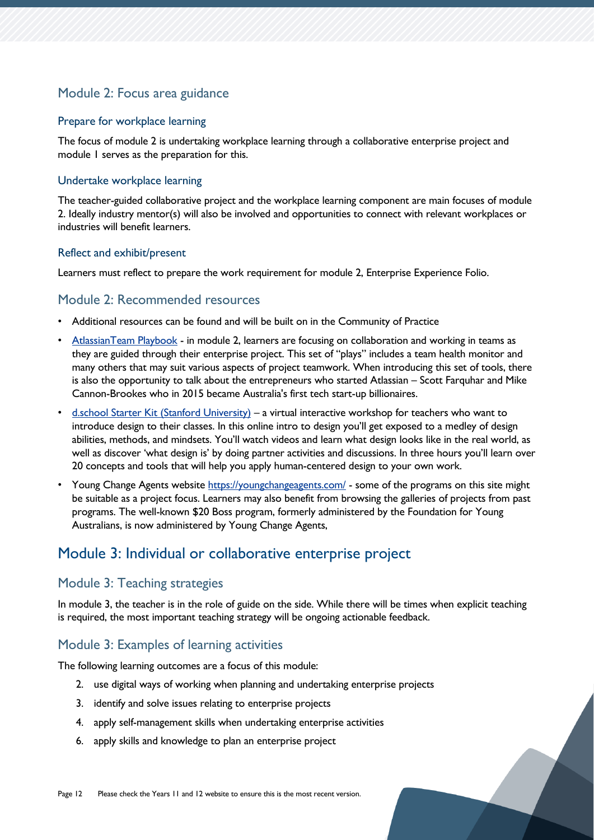### Module 2: Focus area guidance

#### Prepare for workplace learning

The focus of module 2 is undertaking workplace learning through a collaborative enterprise project and module 1 serves as the preparation for this.

#### Undertake workplace learning

The teacher-guided collaborative project and the workplace learning component are main focuses of module 2. Ideally industry mentor(s) will also be involved and opportunities to connect with relevant workplaces or industries will benefit learners.

#### Reflect and exhibit/present

Learners must reflect to prepare the work requirement for module 2, Enterprise Experience Folio.

#### Module 2: Recommended resources

- Additional resources can be found and will be built on in the Community of Practice
- [AtlassianTeam Playbook](https://www.atlassian.com/team-playbook/plays) in module 2, learners are focusing on collaboration and working in teams as they are guided through their enterprise project. This set of "plays" includes a team health monitor and many others that may suit various aspects of project teamwork. When introducing this set of tools, there is also the opportunity to talk about the entrepreneurs who started Atlassian – Scott Farquhar and Mike Cannon-Brookes who in 2015 became Australia's first tech start-up billionaires.
- [d.school Starter Kit \(Stanford University\)](https://dschool.stanford.edu/resources/dschool-starter-kit) a virtual interactive workshop for teachers who want to introduce design to their classes. In this online intro to design you'll get exposed to a medley of design abilities, methods, and mindsets. You'll watch videos and learn what design looks like in the real world, as well as discover 'what design is' by doing partner activities and discussions. In three hours you'll learn over 20 concepts and tools that will help you apply human-centered design to your own work.
- Young Change Agents website<https://youngchangeagents.com/> some of the programs on this site might be suitable as a project focus. Learners may also benefit from browsing the galleries of projects from past programs. The well-known \$20 Boss program, formerly administered by the Foundation for Young Australians, is now administered by Young Change Agents,

# <span id="page-11-0"></span>Module 3: Individual or collaborative enterprise project

#### Module 3: Teaching strategies

In module 3, the teacher is in the role of guide on the side. While there will be times when explicit teaching is required, the most important teaching strategy will be ongoing actionable feedback.

### Module 3: Examples of learning activities

The following learning outcomes are a focus of this module:

- 2. use digital ways of working when planning and undertaking enterprise projects
- 3. identify and solve issues relating to enterprise projects
- 4. apply self-management skills when undertaking enterprise activities
- 6. apply skills and knowledge to plan an enterprise project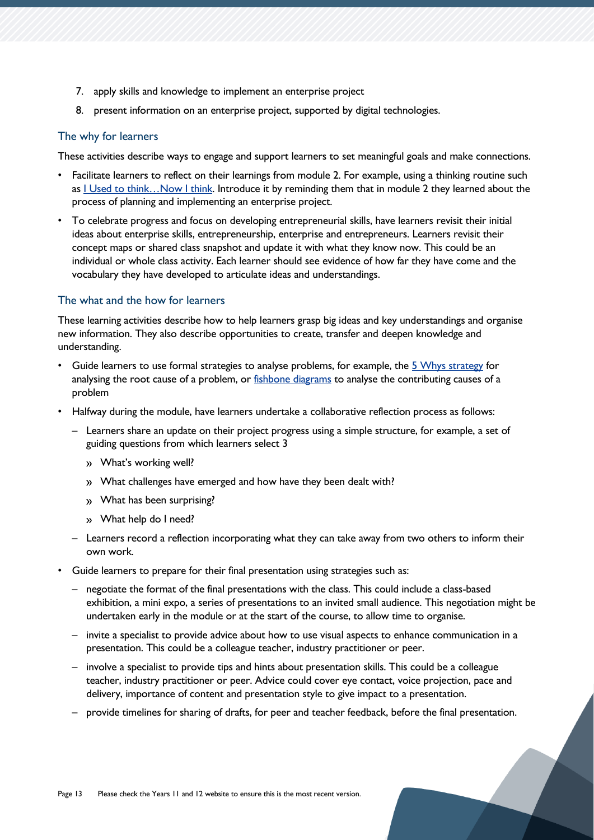- 7. apply skills and knowledge to implement an enterprise project
- 8. present information on an enterprise project, supported by digital technologies.

#### The why for learners

These activities describe ways to engage and support learners to set meaningful goals and make connections.

- Facilitate learners to reflect on their learnings from module 2. For example, using a thinking routine such as I Used to think...Now I think. Introduce it by reminding them that in module 2 they learned about the process of planning and implementing an enterprise project.
- To celebrate progress and focus on developing entrepreneurial skills, have learners revisit their initial ideas about enterprise skills, entrepreneurship, enterprise and entrepreneurs. Learners revisit their concept maps or shared class snapshot and update it with what they know now. This could be an individual or whole class activity. Each learner should see evidence of how far they have come and the vocabulary they have developed to articulate ideas and understandings.

#### The what and the how for learners

These learning activities describe how to help learners grasp big ideas and key understandings and organise new information. They also describe opportunities to create, transfer and deepen knowledge and understanding.

- Guide learners to use formal strategies to analyse problems, for example, the [5 Whys strategy](https://www.youtube.com/watch?v=t7FcK8jV2yA) for analysing the root cause of a problem, or [fishbone diagrams](https://www.youtube.com/watch?v=I0c6Gd26Fxw) to analyse the contributing causes of a problem
- Halfway during the module, have learners undertake a collaborative reflection process as follows:
	- Learners share an update on their project progress using a simple structure, for example, a set of guiding questions from which learners select 3
		- What's working well?
		- What challenges have emerged and how have they been dealt with?
		- What has been surprising?
		- What help do I need?
	- Learners record a reflection incorporating what they can take away from two others to inform their own work.
- Guide learners to prepare for their final presentation using strategies such as:
	- negotiate the format of the final presentations with the class. This could include a class-based exhibition, a mini expo, a series of presentations to an invited small audience. This negotiation might be undertaken early in the module or at the start of the course, to allow time to organise.
	- invite a specialist to provide advice about how to use visual aspects to enhance communication in a presentation. This could be a colleague teacher, industry practitioner or peer.
	- involve a specialist to provide tips and hints about presentation skills. This could be a colleague teacher, industry practitioner or peer. Advice could cover eye contact, voice projection, pace and delivery, importance of content and presentation style to give impact to a presentation.
	- provide timelines for sharing of drafts, for peer and teacher feedback, before the final presentation.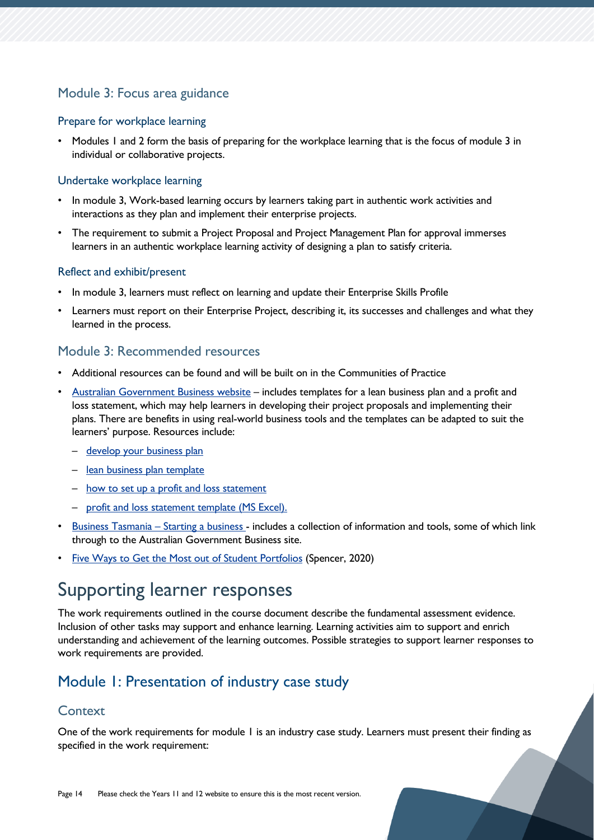### Module 3: Focus area guidance

#### Prepare for workplace learning

• Modules 1 and 2 form the basis of preparing for the workplace learning that is the focus of module 3 in individual or collaborative projects.

#### Undertake workplace learning

- In module 3, Work-based learning occurs by learners taking part in authentic work activities and interactions as they plan and implement their enterprise projects.
- The requirement to submit a Project Proposal and Project Management Plan for approval immerses learners in an authentic workplace learning activity of designing a plan to satisfy criteria.

#### Reflect and exhibit/present

- In module 3, learners must reflect on learning and update their Enterprise Skills Profile
- Learners must report on their Enterprise Project, describing it, its successes and challenges and what they learned in the process.

#### Module 3: Recommended resources

- Additional resources can be found and will be built on in the Communities of Practice
- [Australian Government Business website](https://business.gov.au/) includes templates for a lean business plan and a profit and loss statement, which may help learners in developing their project proposals and implementing their plans. There are benefits in using real-world business tools and the templates can be adapted to suit the learners' purpose. Resources include:
	- develop your business plan
	- [lean business plan template](https://business.gov.au/-/media/business-information/business-plans/lean-business-plan-template.ashx)
	- [how to set up a profit and loss statement](https://business.gov.au/finance/accounting/how-to-set-up-a-profit-and-loss-statement)
	- [profit and loss statement template \(MS Excel\).](https://business.gov.au/-/media/business-information/business-plans/profit-and-loss-statement-template-xls)
- [Business Tasmania](https://www.business.tas.gov.au/starting)  Starting a business includes a collection of information and tools, some of which link through to the Australian Government Business site.
- [Five Ways to Get the Most out of Student Portfolios](https://www.youtube.com/watch?v=6ZP5E--EiQk) (Spencer, 2020)

# <span id="page-13-0"></span>Supporting learner responses

The work requirements outlined in the course document describe the fundamental assessment evidence. Inclusion of other tasks may support and enhance learning. Learning activities aim to support and enrich understanding and achievement of the learning outcomes. Possible strategies to support learner responses to work requirements are provided.

# <span id="page-13-1"></span>Module 1: Presentation of industry case study

#### **Context**

One of the work requirements for module 1 is an industry case study. Learners must present their finding as specified in the work requirement: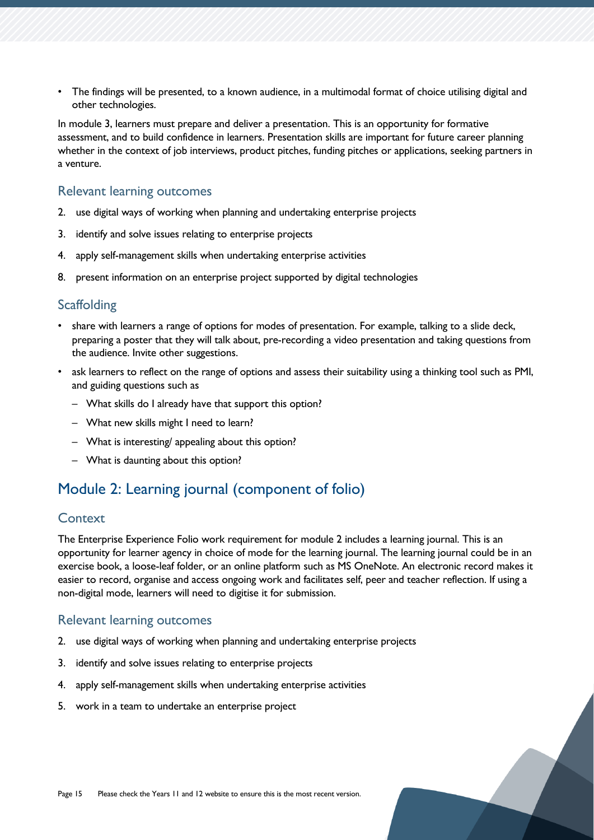• The findings will be presented, to a known audience, in a multimodal format of choice utilising digital and other technologies.

In module 3, learners must prepare and deliver a presentation. This is an opportunity for formative assessment, and to build confidence in learners. Presentation skills are important for future career planning whether in the context of job interviews, product pitches, funding pitches or applications, seeking partners in a venture.

#### Relevant learning outcomes

- 2. use digital ways of working when planning and undertaking enterprise projects
- 3. identify and solve issues relating to enterprise projects
- 4. apply self-management skills when undertaking enterprise activities
- 8. present information on an enterprise project supported by digital technologies

#### **Scaffolding**

- share with learners a range of options for modes of presentation. For example, talking to a slide deck, preparing a poster that they will talk about, pre-recording a video presentation and taking questions from the audience. Invite other suggestions.
- ask learners to reflect on the range of options and assess their suitability using a thinking tool such as PMI, and guiding questions such as
	- What skills do I already have that support this option?
	- What new skills might I need to learn?
	- What is interesting/ appealing about this option?
	- What is daunting about this option?

# <span id="page-14-0"></span>Module 2: Learning journal (component of folio)

### **Context**

The Enterprise Experience Folio work requirement for module 2 includes a learning journal. This is an opportunity for learner agency in choice of mode for the learning journal. The learning journal could be in an exercise book, a loose-leaf folder, or an online platform such as MS OneNote. An electronic record makes it easier to record, organise and access ongoing work and facilitates self, peer and teacher reflection. If using a non-digital mode, learners will need to digitise it for submission.

#### Relevant learning outcomes

- 2. use digital ways of working when planning and undertaking enterprise projects
- 3. identify and solve issues relating to enterprise projects
- 4. apply self-management skills when undertaking enterprise activities
- 5. work in a team to undertake an enterprise project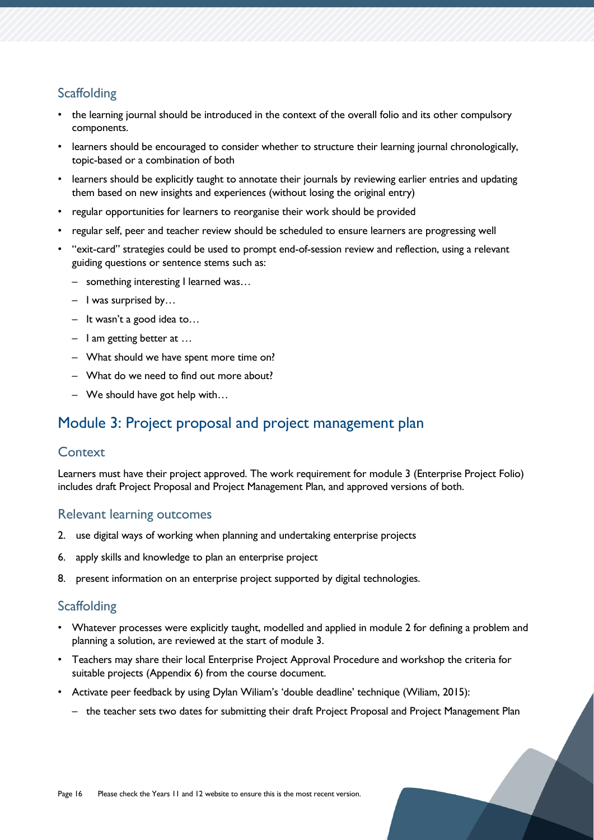## **Scaffolding**

- the learning journal should be introduced in the context of the overall folio and its other compulsory components.
- learners should be encouraged to consider whether to structure their learning journal chronologically, topic-based or a combination of both
- learners should be explicitly taught to annotate their journals by reviewing earlier entries and updating them based on new insights and experiences (without losing the original entry)
- regular opportunities for learners to reorganise their work should be provided
- regular self, peer and teacher review should be scheduled to ensure learners are progressing well
- "exit-card" strategies could be used to prompt end-of-session review and reflection, using a relevant guiding questions or sentence stems such as:
	- something interesting I learned was…
	- I was surprised by…
	- It wasn't a good idea to…
	- I am getting better at …
	- What should we have spent more time on?
	- What do we need to find out more about?
	- We should have got help with…

# <span id="page-15-0"></span>Module 3: Project proposal and project management plan

#### **Context**

Learners must have their project approved. The work requirement for module 3 (Enterprise Project Folio) includes draft Project Proposal and Project Management Plan, and approved versions of both.

#### Relevant learning outcomes

- 2. use digital ways of working when planning and undertaking enterprise projects
- 6. apply skills and knowledge to plan an enterprise project
- 8. present information on an enterprise project supported by digital technologies.

### **Scaffolding**

- Whatever processes were explicitly taught, modelled and applied in module 2 for defining a problem and planning a solution, are reviewed at the start of module 3.
- Teachers may share their local Enterprise Project Approval Procedure and workshop the criteria for suitable projects (Appendix 6) from the course document.
- Activate peer feedback by using Dylan Wiliam's 'double deadline' technique (Wiliam, 2015):
	- the teacher sets two dates for submitting their draft Project Proposal and Project Management Plan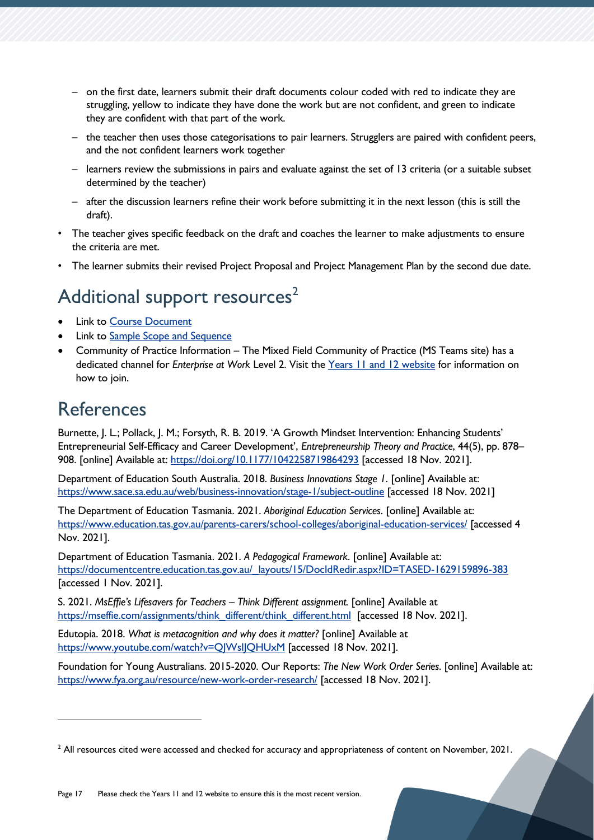- on the first date, learners submit their draft documents colour coded with red to indicate they are struggling, yellow to indicate they have done the work but are not confident, and green to indicate they are confident with that part of the work.
- the teacher then uses those categorisations to pair learners. Strugglers are paired with confident peers, and the not confident learners work together
- learners review the submissions in pairs and evaluate against the set of 13 criteria (or a suitable subset determined by the teacher)
- after the discussion learners refine their work before submitting it in the next lesson (this is still the draft).
- The teacher gives specific feedback on the draft and coaches the learner to make adjustments to ensure the criteria are met.
- The learner submits their revised Project Proposal and Project Management Plan by the second due date.

# <span id="page-16-0"></span>Additional support resources<sup>2</sup>

- **Link to [Course Document](https://www.tasc.tas.gov.au/students/courses/mixed-field/epw215122/)**
- Link to [Sample Scope and Sequence](https://documentcentre.education.tas.gov.au/_layouts/15/DocIdRedir.aspx?ID=TASED-1409172972-1875)
- Community of Practice Information The Mixed Field Community of Practice (MS Teams site) has a dedicated channel for *Enterprise at Work* Level 2. Visit the [Years 11 and 12 website](https://11and12.education.tas.gov.au/communities-of-practice/) for information on how to join.

# <span id="page-16-1"></span>References

Burnette, J. L.; Pollack, J. M.; Forsyth, R. B. 2019. 'A Growth Mindset Intervention: Enhancing Students' Entrepreneurial Self-Efficacy and Career Development', *Entrepreneurship Theory and Practice*, 44(5), pp. 878– 908. [online] Available at:<https://doi.org/10.1177/1042258719864293> [accessed 18 Nov. 2021].

Department of Education South Australia. 2018. *Business Innovations Stage 1*. [online] Available at: <https://www.sace.sa.edu.au/web/business-innovation/stage-1/subject-outline> [accessed 18 Nov. 2021]

The Department of Education Tasmania. 2021. *Aboriginal Education Services*. [online] Available at: <https://www.education.tas.gov.au/parents-carers/school-colleges/aboriginal-education-services/> [accessed 4 Nov. 2021].

Department of Education Tasmania. 2021. *A Pedagogical Framework*. [online] Available at: [https://documentcentre.education.tas.gov.au/\\_layouts/15/DocIdRedir.aspx?ID=TASED-1629159896-383](https://documentcentre.education.tas.gov.au/_layouts/15/DocIdRedir.aspx?ID=TASED-1629159896-383) [accessed 1 Nov. 2021].

S. 2021. *MsEffie's Lifesavers for Teachers – Think Different assignment.* [online] Available at [https://mseffie.com/assignments/think\\_different/think\\_different.html](https://mseffie.com/assignments/think_different/think_different.html) [accessed 18 Nov. 2021].

Edutopia. 2018. *What is metacognition and why does it matter?* [online] Available at <https://www.youtube.com/watch?v=QJWsIJQHUxM> [accessed 18 Nov. 2021].

Foundation for Young Australians. 2015-2020. Our Reports: *The New Work Order Series*. [online] Available at: <https://www.fya.org.au/resource/new-work-order-research/> [accessed 18 Nov. 2021].

 $<sup>2</sup>$  All resources cited were accessed and checked for accuracy and appropriateness of content on November, 2021.</sup>